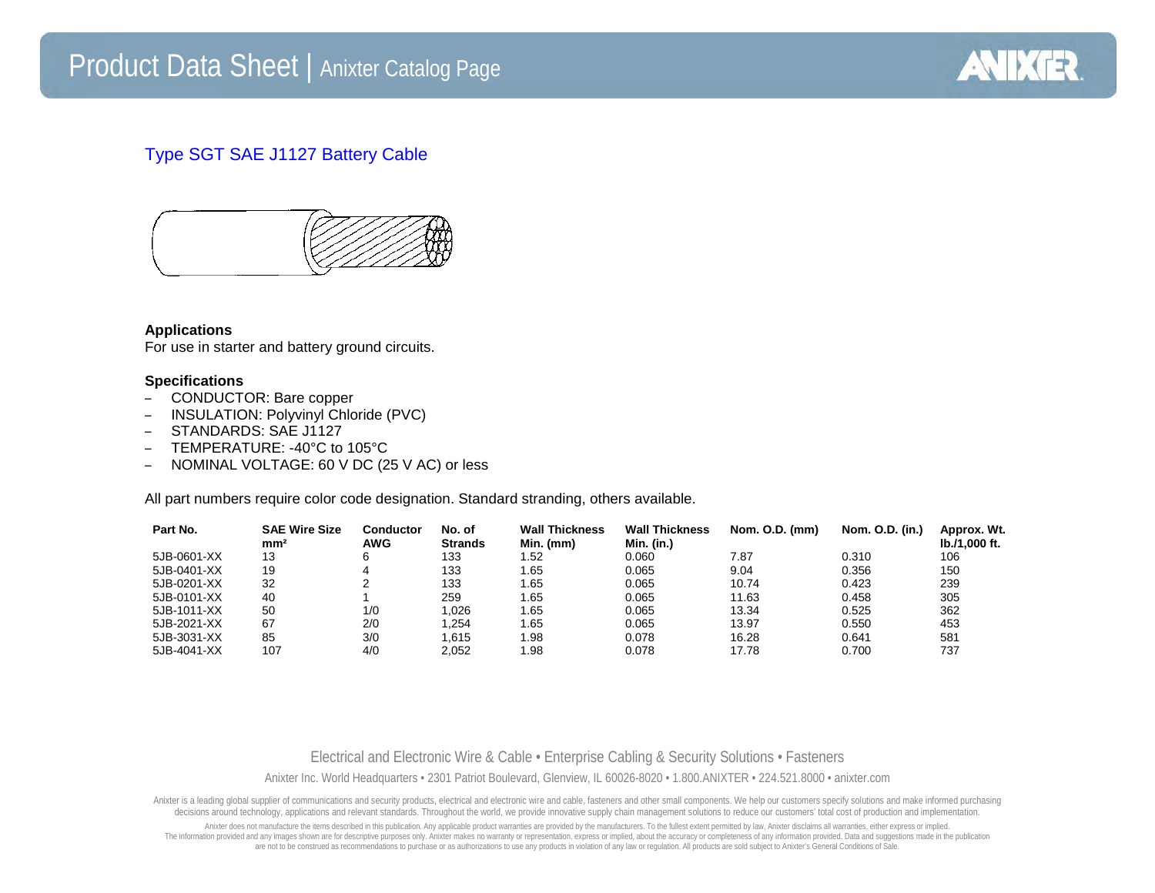

## Type SGT SAE J1127 Battery Cable



## **Applications**

For use in starter and battery ground circuits.

## **Specifications**

- CONDUCTOR: Bare copper
- INSULATION: Polyvinyl Chloride (PVC)
- STANDARDS: SAE J1127
- TEMPERATURE: -40°C to 105°C
- NOMINAL VOLTAGE: 60 V DC (25 V AC) or less

All part numbers require color code designation. Standard stranding, others available.

| Part No.    | <b>SAE Wire Size</b><br>mm <sup>2</sup> | Conductor<br><b>AWG</b> | No. of<br><b>Strands</b> | <b>Wall Thickness</b><br>Min. (mm) | <b>Wall Thickness</b><br>Min. (in.) | Nom. O.D. (mm) | Nom. O.D. (in.) | Approx. Wt.<br>lb./1.000 ft. |
|-------------|-----------------------------------------|-------------------------|--------------------------|------------------------------------|-------------------------------------|----------------|-----------------|------------------------------|
| 5JB-0601-XX | 13                                      |                         | 133                      | .52                                | 0.060                               | 7.87           | 0.310           | 106                          |
| 5JB-0401-XX | 19                                      |                         | 133                      | 65.،                               | 0.065                               | 9.04           | 0.356           | 150                          |
| 5JB-0201-XX | 32                                      |                         | 133                      | 65.،                               | 0.065                               | 10.74          | 0.423           | 239                          |
| 5JB-0101-XX | 40                                      |                         | 259                      | 65.،                               | 0.065                               | 11.63          | 0.458           | 305                          |
| 5JB-1011-XX | 50                                      | 1/0                     | 1.026                    | 1.65                               | 0.065                               | 13.34          | 0.525           | 362                          |
| 5JB-2021-XX | 67                                      | 2/0                     | .254                     | 1.65                               | 0.065                               | 13.97          | 0.550           | 453                          |
| 5JB-3031-XX | 85                                      | 3/0                     | 1.615                    | 98.،                               | 0.078                               | 16.28          | 0.641           | 581                          |
| 5JB-4041-XX | 107                                     | 4/0                     | 2.052                    | l.98                               | 0.078                               | 17.78          | 0.700           | 737                          |

Electrical and Electronic Wire & Cable • Enterprise Cabling & Security Solutions • Fasteners Anixter Inc. World Headquarters • 2301 Patriot Boulevard, Glenview, IL 60026-8020 • 1.800.ANIXTER • 224.521.8000 • anixter.com

Anixter is a leading global supplier of communications and security products, electrical and electronic wire and cable, fasteners and other small components. We help our customers specify solutions and make informed purcha decisions around technology, applications and relevant standards. Throughout the world, we provide innovative supply chain management solutions to reduce our customers' total cost of production and implementation.

Anixter does not manufacture the items described in this publication. Any applicable product warranties are provided by the manufacturers. To the fullest extent permitted by law, Anixter disclaims all warranties, either ex The information provided and any images shown are for descriptive purposes only. Anixter makes no warranty or representation, express or implied, about the accuracy or completeness of any information provided. Data and sug are not to be construed as recommendations to purchase or as authorizations to use any products in violation of any law or regulation. All products are sold subject to Anixter's General Conditions of Sale.